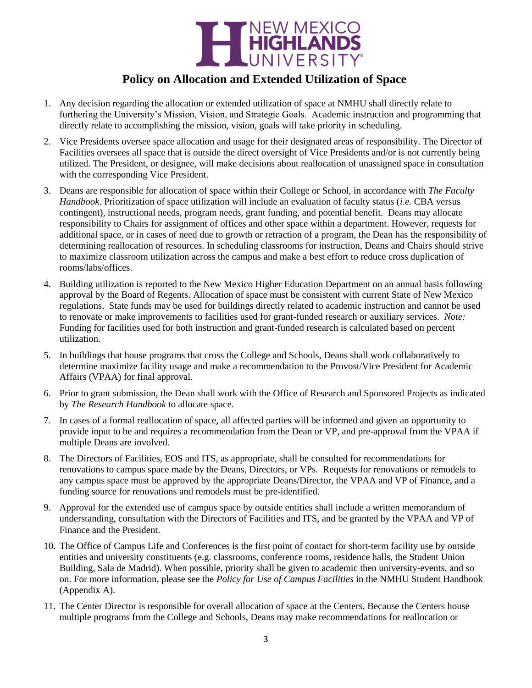

## **Policy on Allocation and Extended Utilization of Space**

- 1. Any decision regarding the allocation or extended utilization of space at NMHU shall directly relate to furthering the University's Mission, Vision, and Strategic Goals. Academic instruction and programming that directly relate to accomplishing the mission, vision, goals will take priority in scheduling.
- 2. Vice Presidents oversee space allocation and usage for their designated areas of responsibility. The Director of Facilities oversees all space that is outside the direct oversight of Vice Presidents and/or is not currently being utilized. The President, or designee, will make decisions about reallocation of unassigned space in consultation with the corresponding Vice President.
- 3. Deans are responsible for allocation of space within their College or School, in accordance with *The Faculty Handbook*. Prioritization of space utilization will include an evaluation of faculty status (*i.e.* CBA versus contingent), instructional needs, program needs, grant funding, and potential benefit. Deans may allocate responsibility to Chairs for assignment of offices and other space within a department. However, requests for additional space, or in cases of need due to growth or retraction of a program, the Dean has the responsibility of determining reallocation of resources. In scheduling classrooms for instruction, Deans and Chairs should strive to maximize classroom utilization across the campus and make a best effort to reduce cross duplication of rooms/labs/offices.
- 4. Building utilization is reported to the New Mexico Higher Education Department on an annual basis following approval by the Board of Regents. Allocation of space must be consistent with current State of New Mexico regulations. State funds may be used for buildings directly related to academic instruction and cannot be used to renovate or make improvements to facilities used for grant-funded research or auxiliary services. *Note:* Funding for facilities used for both instruction and grant-funded research is calculated based on percent utilization.
- 5. In buildings that house programs that cross the College and Schools, Deans shall work collaboratively to determine maximize facility usage and make a recommendation to the Provost/Vice President for Academic Affairs (VPAA) for final approval.
- 6. Prior to grant submission, the Dean shall work with the Office of Research and Sponsored Projects as indicated by *The Research Handbook* to allocate space.
- 7. In cases of a formal reallocation of space, all affected parties will be informed and given an opportunity to provide input to be and requires a recommendation from the Dean or VP, and pre-approval from the VPAA if multiple Deans are involved.
- 8. The Directors of Facilities, EOS and ITS, as appropriate, shall be consulted for recommendations for renovations to campus space made by the Deans, Directors, or VPs. Requests for renovations or remodels to any campus space must be approved by the appropriate Deans/Director, the VPAA and VP of Finance, and a funding source for renovations and remodels must be pre-identified.
- 9. Approval for the extended use of campus space by outside entities shall include a written memorandum of understanding, consultation with the Directors of Facilities and ITS, and be granted by the VPAA and VP of Finance and the President.
- 10. The Office of Campus Life and Conferences is the first point of contact for short-term facility use by outside entities and university constituents (e.g. classrooms, conference rooms, residence halls, the Student Union Building, Sala de Madrid). When possible, priority shall be given to academic then university-events, and so on. For more information, please see the *Policy for Use of Campus Facilities* in the NMHU Student Handbook (Appendix A).
- 11. The Center Director is responsible for overall allocation of space at the Centers. Because the Centers house multiple programs from the College and Schools, Deans may make recommendations for reallocation or